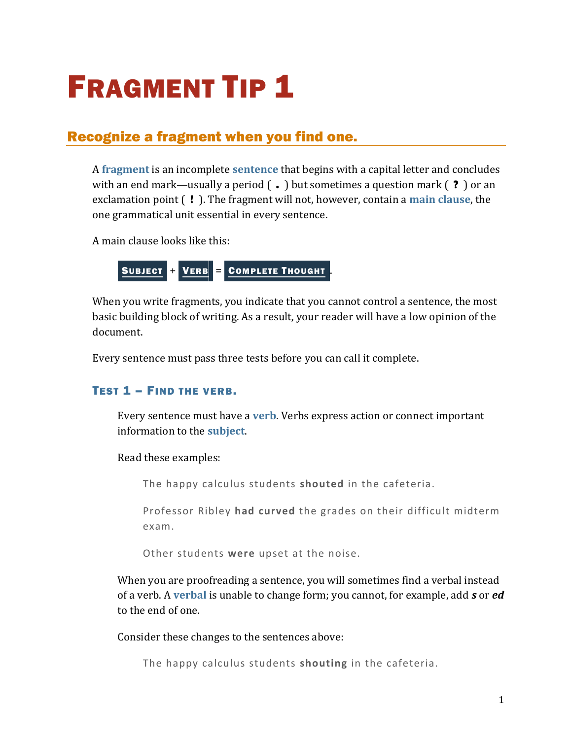# **FRAGMENT TIP 1**

# Recognize a fragment when you find one.

A **[fragment](https://chompchomp.com/terms/fragment.htm)** is an incomplete **[sentence](https://chompchomp.com/terms/completesentence.htm)** that begins with a capital letter and concludes with an end mark—usually a period ( **.** ) but sometimes a question mark ( **?** ) or an exclamation point ( **!** ). The fragment will not, however, contain a **[main clause](https://chompchomp.com/terms/mainclause.htm)**, the one grammatical unit essential in every sentence.

A main clause looks like this:

SUBJECT + VERB = COMPLETE THOUGHT

When you write fragments, you indicate that you cannot control a sentence, the most basic building block of writing. As a result, your reader will have a low opinion of the document.

Every sentence must pass three tests before you can call it complete.

### TEST 1 – FIND THE VERB.

Every sentence must have a **[verb](https://chompchomp.com/terms/verb.htm)**. Verbs express action or connect important information to the **[subject](https://chompchomp.com/terms/subject.htm)**.

Read these examples:

The happy calculus students **shouted** in the cafeteria.

Professor Ribley **had curved** the grades on their difficult midterm exam.

Other students **were** upset at the noise.

When you are proofreading a sentence, you will sometimes find a verbal instead of a verb. A **[verbal](https://chompchomp.com/terms/verbal.htm)** is unable to change form; you cannot, for example, add *s* or *ed* to the end of one.

Consider these changes to the sentences above:

The happy calculus students **shouting** in the cafeteria.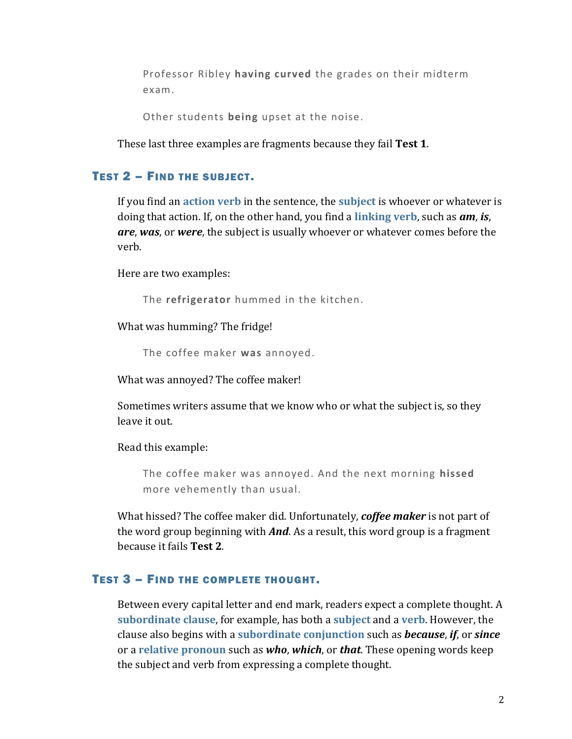Professor Ribley **having curved** the grades on their midterm exam.

Other students **being** upset at the noise.

These last three examples are fragments because they fail **Test 1**.

#### TEST 2 – FIND THE SUBJECT.

If you find an **[action verb](https://chompchomp.com/terms/actionverb.htm)** in the sentence, the **[subject](https://chompchomp.com/terms/subject.htm)** is whoever or whatever is doing that action. If, on the other hand, you find a **[linking verb](https://chompchomp.com/terms/linkingverb.htm)**, such as *am*, *is*, *are*, *was*, or *were*, the subject is usually whoever or whatever comes before the verb.

Here are two examples:

The **refrigerator** hummed in the kitchen.

What was humming? The fridge!

The coffee maker **was** annoyed.

What was annoyed? The coffee maker!

Sometimes writers assume that we know who or what the subject is, so they leave it out.

Read this example:

The coffee maker was annoyed. And the next morning **hissed** more vehemently than usual.

What hissed? The coffee maker did. Unfortunately, *coffee maker* is not part of the word group beginning with *And*. As a result, this word group is a fragment because it fails **Test 2**.

#### TEST 3 – FIND THE COMPLETE THOUGHT.

Between every capital letter and end mark, readers expect a complete thought. A **[subordinate clause](https://chompchomp.com/terms/subordinateclause.htm)**, for example, has both a **[subject](https://chompchomp.com/terms/subject.htm)** and a **[verb](https://chompchomp.com/terms/verb.htm)**. However, the clause also begins with a **[subordinate conjunction](https://chompchomp.com/terms/subordinateconjunction.htm)** such as *because*, *if*, or *since* or a **[relative pronoun](http://chompchomp.com/terms/relativepronoun.htm)** such as *who*, *which*, or *that*. These opening words keep the subject and verb from expressing a complete thought.